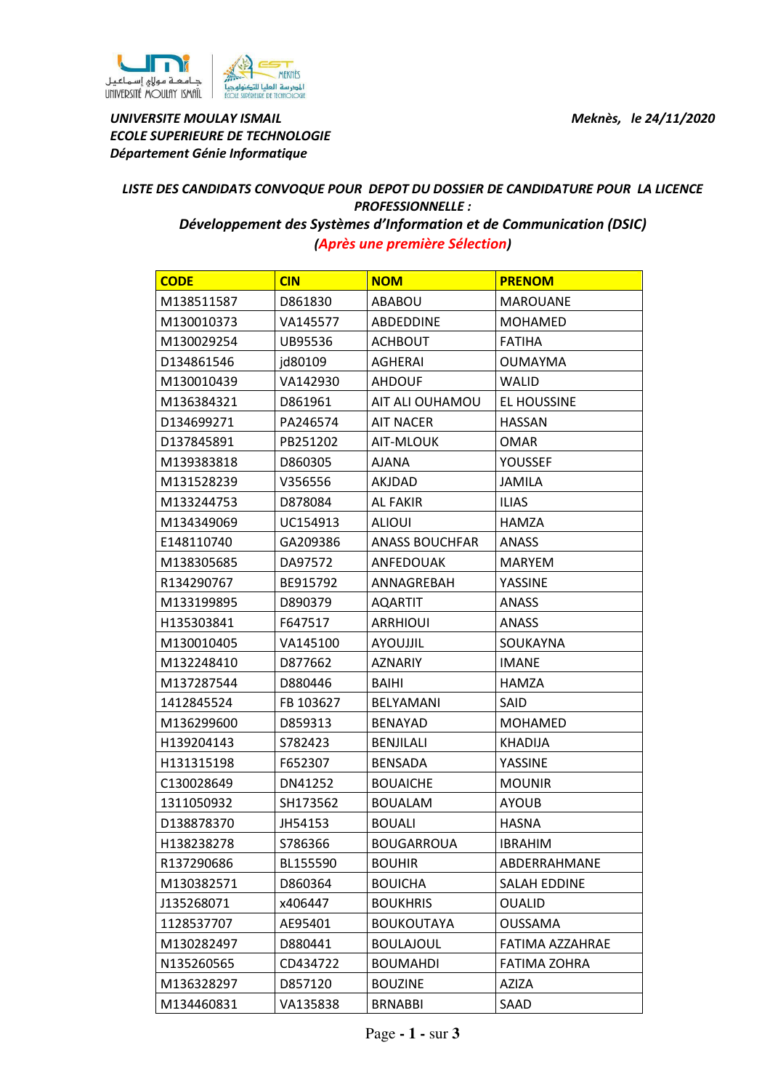



UNIVERSITE MOULAY ISMAIL **Meknès, le 24/11/2020** ECOLE SUPERIEURE DE TECHNOLOGIE Département Génie Informatique

## LISTE DES CANDIDATS CONVOQUE POUR DEPOT DU DOSSIER DE CANDIDATURE POUR LA LICENCE PROFESSIONNELLE :

Développement des Systèmes d'Information et de Communication (DSIC) (Après une première Sélection)

| <b>CODE</b> | <b>CIN</b> | <b>NOM</b>            | <b>PRENOM</b>       |
|-------------|------------|-----------------------|---------------------|
| M138511587  | D861830    | ABABOU                | <b>MAROUANE</b>     |
| M130010373  | VA145577   | ABDEDDINE             | <b>MOHAMED</b>      |
| M130029254  | UB95536    | <b>ACHBOUT</b>        | <b>FATIHA</b>       |
| D134861546  | jd80109    | AGHERAI               | <b>OUMAYMA</b>      |
| M130010439  | VA142930   | <b>AHDOUF</b>         | <b>WALID</b>        |
| M136384321  | D861961    | AIT ALI OUHAMOU       | EL HOUSSINE         |
| D134699271  | PA246574   | <b>AIT NACER</b>      | <b>HASSAN</b>       |
| D137845891  | PB251202   | AIT-MLOUK             | <b>OMAR</b>         |
| M139383818  | D860305    | <b>AJANA</b>          | <b>YOUSSEF</b>      |
| M131528239  | V356556    | AKJDAD                | <b>JAMILA</b>       |
| M133244753  | D878084    | <b>AL FAKIR</b>       | <b>ILIAS</b>        |
| M134349069  | UC154913   | <b>ALIOUI</b>         | <b>HAMZA</b>        |
| E148110740  | GA209386   | <b>ANASS BOUCHFAR</b> | <b>ANASS</b>        |
| M138305685  | DA97572    | ANFEDOUAK             | <b>MARYEM</b>       |
| R134290767  | BE915792   | ANNAGREBAH            | YASSINE             |
| M133199895  | D890379    | <b>AQARTIT</b>        | ANASS               |
| H135303841  | F647517    | <b>ARRHIOUI</b>       | ANASS               |
| M130010405  | VA145100   | <b>AYOUJJIL</b>       | SOUKAYNA            |
| M132248410  | D877662    | <b>AZNARIY</b>        | <b>IMANE</b>        |
| M137287544  | D880446    | BAIHI                 | HAMZA               |
| 1412845524  | FB 103627  | <b>BELYAMANI</b>      | SAID                |
| M136299600  | D859313    | <b>BENAYAD</b>        | <b>MOHAMED</b>      |
| H139204143  | S782423    | <b>BENJILALI</b>      | <b>KHADIJA</b>      |
| H131315198  | F652307    | <b>BENSADA</b>        | YASSINE             |
| C130028649  | DN41252    | <b>BOUAICHE</b>       | <b>MOUNIR</b>       |
| 1311050932  | SH173562   | <b>BOUALAM</b>        | <b>AYOUB</b>        |
| D138878370  | JH54153    | <b>BOUALI</b>         | <b>HASNA</b>        |
| H138238278  | S786366    | <b>BOUGARROUA</b>     | <b>IBRAHIM</b>      |
| R137290686  | BL155590   | <b>BOUHIR</b>         | ABDERRAHMANE        |
| M130382571  | D860364    | <b>BOUICHA</b>        | <b>SALAH EDDINE</b> |
| J135268071  | x406447    | <b>BOUKHRIS</b>       | <b>OUALID</b>       |
| 1128537707  | AE95401    | <b>BOUKOUTAYA</b>     | <b>OUSSAMA</b>      |
| M130282497  | D880441    | <b>BOULAJOUL</b>      | FATIMA AZZAHRAE     |
| N135260565  | CD434722   | <b>BOUMAHDI</b>       | <b>FATIMA ZOHRA</b> |
| M136328297  | D857120    | <b>BOUZINE</b>        | <b>AZIZA</b>        |
| M134460831  | VA135838   | <b>BRNABBI</b>        | SAAD                |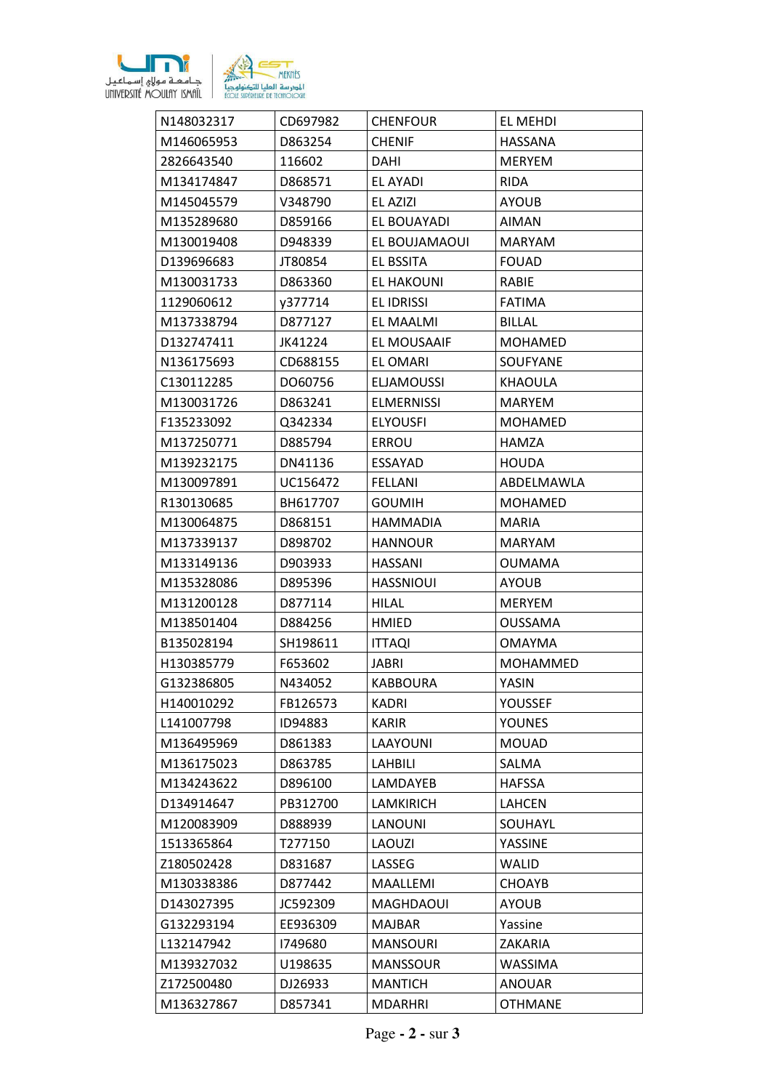

| N148032317 | CD697982 | <b>CHENFOUR</b>   | EL MEHDI        |
|------------|----------|-------------------|-----------------|
| M146065953 | D863254  | <b>CHENIF</b>     | <b>HASSANA</b>  |
| 2826643540 | 116602   | <b>DAHI</b>       | <b>MERYEM</b>   |
| M134174847 | D868571  | <b>EL AYADI</b>   | <b>RIDA</b>     |
| M145045579 | V348790  | EL AZIZI          | <b>AYOUB</b>    |
| M135289680 | D859166  | EL BOUAYADI       | AIMAN           |
| M130019408 | D948339  | EL BOUJAMAOUI     | <b>MARYAM</b>   |
| D139696683 | JT80854  | EL BSSITA         | <b>FOUAD</b>    |
| M130031733 | D863360  | <b>EL HAKOUNI</b> | RABIE           |
| 1129060612 | y377714  | <b>EL IDRISSI</b> | <b>FATIMA</b>   |
| M137338794 | D877127  | EL MAALMI         | BILLAL          |
| D132747411 | JK41224  | EL MOUSAAIF       | MOHAMED         |
| N136175693 | CD688155 | EL OMARI          | <b>SOUFYANE</b> |
| C130112285 | DO60756  | <b>ELJAMOUSSI</b> | <b>KHAOULA</b>  |
| M130031726 | D863241  | <b>ELMERNISSI</b> | <b>MARYEM</b>   |
| F135233092 | Q342334  | <b>ELYOUSFI</b>   | <b>MOHAMED</b>  |
| M137250771 | D885794  | ERROU             | <b>HAMZA</b>    |
| M139232175 | DN41136  | ESSAYAD           | <b>HOUDA</b>    |
| M130097891 | UC156472 | <b>FELLANI</b>    | ABDELMAWLA      |
| R130130685 | BH617707 | <b>GOUMIH</b>     | <b>MOHAMED</b>  |
| M130064875 | D868151  | <b>HAMMADIA</b>   | <b>MARIA</b>    |
| M137339137 | D898702  | <b>HANNOUR</b>    | <b>MARYAM</b>   |
| M133149136 | D903933  | <b>HASSANI</b>    | <b>OUMAMA</b>   |
| M135328086 | D895396  | <b>HASSNIOUI</b>  | <b>AYOUB</b>    |
| M131200128 | D877114  | <b>HILAL</b>      | <b>MERYEM</b>   |
| M138501404 | D884256  | <b>HMIED</b>      | <b>OUSSAMA</b>  |
| B135028194 | SH198611 | <b>ITTAQI</b>     | <b>OMAYMA</b>   |
| H130385779 | F653602  | JABRI             | <b>MOHAMMED</b> |
| G132386805 | N434052  | <b>KABBOURA</b>   | YASIN           |
| H140010292 | FB126573 | <b>KADRI</b>      | YOUSSEF         |
| L141007798 | ID94883  | <b>KARIR</b>      | <b>YOUNES</b>   |
| M136495969 | D861383  | LAAYOUNI          | <b>MOUAD</b>    |
| M136175023 | D863785  | LAHBILI           | SALMA           |
| M134243622 | D896100  | LAMDAYEB          | <b>HAFSSA</b>   |
| D134914647 | PB312700 | <b>LAMKIRICH</b>  | <b>LAHCEN</b>   |
| M120083909 | D888939  | <b>LANOUNI</b>    | SOUHAYL         |
| 1513365864 | T277150  | <b>LAOUZI</b>     | YASSINE         |
| Z180502428 | D831687  | LASSEG            | <b>WALID</b>    |
| M130338386 | D877442  | MAALLEMI          | <b>CHOAYB</b>   |
| D143027395 | JC592309 | MAGHDAOUI         | <b>AYOUB</b>    |
| G132293194 | EE936309 | <b>MAJBAR</b>     | Yassine         |
| L132147942 | 1749680  | <b>MANSOURI</b>   | ZAKARIA         |
| M139327032 | U198635  | <b>MANSSOUR</b>   | WASSIMA         |
| Z172500480 | DJ26933  | <b>MANTICH</b>    | <b>ANOUAR</b>   |
| M136327867 | D857341  | <b>MDARHRI</b>    | <b>OTHMANE</b>  |